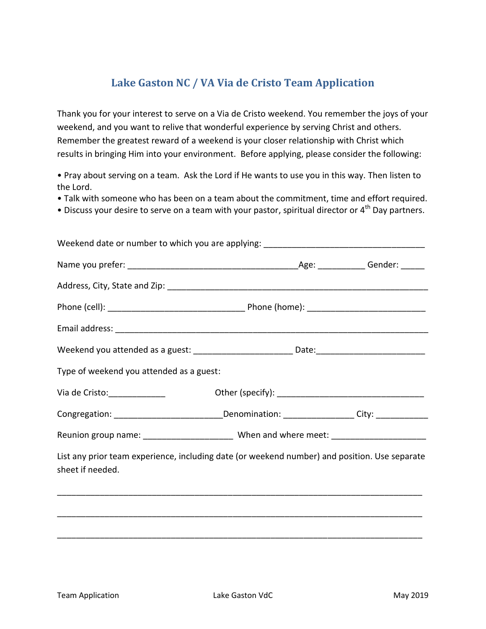## **Lake Gaston NC / VA Via de Cristo Team Application**

Thank you for your interest to serve on a Via de Cristo weekend. You remember the joys of your weekend, and you want to relive that wonderful experience by serving Christ and others. Remember the greatest reward of a weekend is your closer relationship with Christ which results in bringing Him into your environment. Before applying, please consider the following:

• Pray about serving on a team. Ask the Lord if He wants to use you in this way. Then listen to the Lord.

• Talk with someone who has been on a team about the commitment, time and effort required.

• Discuss your desire to serve on a team with your pastor, spiritual director or 4<sup>th</sup> Day partners.

| Weekend date or number to which you are applying: ______________________________                                  |  |
|-------------------------------------------------------------------------------------------------------------------|--|
|                                                                                                                   |  |
|                                                                                                                   |  |
|                                                                                                                   |  |
|                                                                                                                   |  |
| Weekend you attended as a guest: __________________________Date:___________________________________               |  |
| Type of weekend you attended as a guest:                                                                          |  |
|                                                                                                                   |  |
| Congregation: _________________________________Denomination: ___________________City: _____________               |  |
| Reunion group name: ________________________ When and where meet: ______________                                  |  |
| List any prior team experience, including date (or weekend number) and position. Use separate<br>sheet if needed. |  |
|                                                                                                                   |  |
|                                                                                                                   |  |
|                                                                                                                   |  |